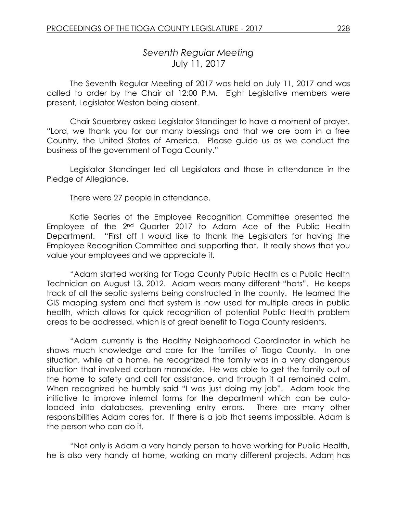# *Seventh Regular Meeting* July 11, 2017

The Seventh Regular Meeting of 2017 was held on July 11, 2017 and was called to order by the Chair at 12:00 P.M. Eight Legislative members were present, Legislator Weston being absent.

Chair Sauerbrey asked Legislator Standinger to have a moment of prayer. "Lord, we thank you for our many blessings and that we are born in a free Country, the United States of America. Please guide us as we conduct the business of the government of Tioga County."

Legislator Standinger led all Legislators and those in attendance in the Pledge of Allegiance.

There were 27 people in attendance.

Katie Searles of the Employee Recognition Committee presented the Employee of the 2nd Quarter 2017 to Adam Ace of the Public Health Department. "First off I would like to thank the Legislators for having the Employee Recognition Committee and supporting that. It really shows that you value your employees and we appreciate it.

"Adam started working for Tioga County Public Health as a Public Health Technician on August 13, 2012. Adam wears many different "hats". He keeps track of all the septic systems being constructed in the county. He learned the GIS mapping system and that system is now used for multiple areas in public health, which allows for quick recognition of potential Public Health problem areas to be addressed, which is of great benefit to Tioga County residents.

"Adam currently is the Healthy Neighborhood Coordinator in which he shows much knowledge and care for the families of Tioga County. In one situation, while at a home, he recognized the family was in a very dangerous situation that involved carbon monoxide. He was able to get the family out of the home to safety and call for assistance, and through it all remained calm. When recognized he humbly said "I was just doing my job". Adam took the initiative to improve internal forms for the department which can be autoloaded into databases, preventing entry errors. There are many other responsibilities Adam cares for. If there is a job that seems impossible, Adam is the person who can do it.

"Not only is Adam a very handy person to have working for Public Health, he is also very handy at home, working on many different projects. Adam has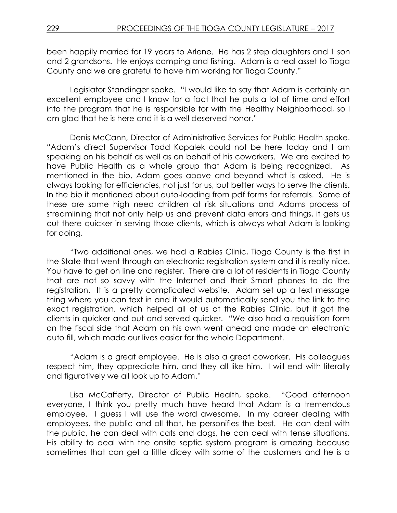been happily married for 19 years to Arlene. He has 2 step daughters and 1 son and 2 grandsons. He enjoys camping and fishing. Adam is a real asset to Tioga County and we are grateful to have him working for Tioga County."

Legislator Standinger spoke. "I would like to say that Adam is certainly an excellent employee and I know for a fact that he puts a lot of time and effort into the program that he is responsible for with the Healthy Neighborhood, so I am glad that he is here and it is a well deserved honor."

Denis McCann, Director of Administrative Services for Public Health spoke. "Adam's direct Supervisor Todd Kopalek could not be here today and I am speaking on his behalf as well as on behalf of his coworkers. We are excited to have Public Health as a whole group that Adam is being recognized. As mentioned in the bio, Adam goes above and beyond what is asked. He is always looking for efficiencies, not just for us, but better ways to serve the clients. In the bio it mentioned about auto-loading from pdf forms for referrals. Some of these are some high need children at risk situations and Adams process of streamlining that not only help us and prevent data errors and things, it gets us out there quicker in serving those clients, which is always what Adam is looking for doing.

"Two additional ones, we had a Rabies Clinic, Tioga County is the first in the State that went through an electronic registration system and it is really nice. You have to get on line and register. There are a lot of residents in Tioga County that are not so savvy with the Internet and their Smart phones to do the registration. It is a pretty complicated website. Adam set up a text message thing where you can text in and it would automatically send you the link to the exact registration, which helped all of us at the Rabies Clinic, but it got the clients in quicker and out and served quicker. "We also had a requisition form on the fiscal side that Adam on his own went ahead and made an electronic auto fill, which made our lives easier for the whole Department.

"Adam is a great employee. He is also a great coworker. His colleagues respect him, they appreciate him, and they all like him. I will end with literally and figuratively we all look up to Adam."

Lisa McCafferty, Director of Public Health, spoke. "Good afternoon everyone, I think you pretty much have heard that Adam is a tremendous employee. I guess I will use the word awesome. In my career dealing with employees, the public and all that, he personifies the best. He can deal with the public, he can deal with cats and dogs, he can deal with tense situations. His ability to deal with the onsite septic system program is amazing because sometimes that can get a little dicey with some of the customers and he is a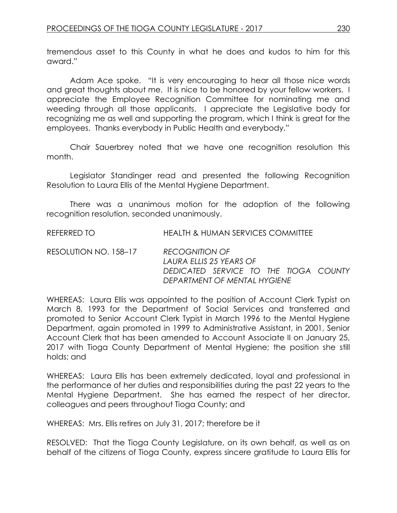tremendous asset to this County in what he does and kudos to him for this award."

Adam Ace spoke. "It is very encouraging to hear all those nice words and great thoughts about me. It is nice to be honored by your fellow workers. I appreciate the Employee Recognition Committee for nominating me and weeding through all those applicants. I appreciate the Legislative body for recognizing me as well and supporting the program, which I think is great for the employees. Thanks everybody in Public Health and everybody."

Chair Sauerbrey noted that we have one recognition resolution this month.

Legislator Standinger read and presented the following Recognition Resolution to Laura Ellis of the Mental Hygiene Department.

There was a unanimous motion for the adoption of the following recognition resolution, seconded unanimously.

REFERRED TO HEALTH & HUMAN SERVICES COMMITTEE

RESOLUTION NO. 158–17 *RECOGNITION OF LAURA ELLIS 25 YEARS OF DEDICATED SERVICE TO THE TIOGA COUNTY DEPARTMENT OF MENTAL HYGIENE*

WHEREAS: Laura Ellis was appointed to the position of Account Clerk Typist on March 8, 1993 for the Department of Social Services and transferred and promoted to Senior Account Clerk Typist in March 1996 to the Mental Hygiene Department, again promoted in 1999 to Administrative Assistant, in 2001, Senior Account Clerk that has been amended to Account Associate II on January 25, 2017 with Tioga County Department of Mental Hygiene; the position she still holds; and

WHEREAS: Laura Ellis has been extremely dedicated, loyal and professional in the performance of her duties and responsibilities during the past 22 years to the Mental Hygiene Department. She has earned the respect of her director, colleagues and peers throughout Tioga County; and

WHEREAS: Mrs. Ellis retires on July 31, 2017; therefore be it

RESOLVED: That the Tioga County Legislature, on its own behalf, as well as on behalf of the citizens of Tioga County, express sincere gratitude to Laura Ellis for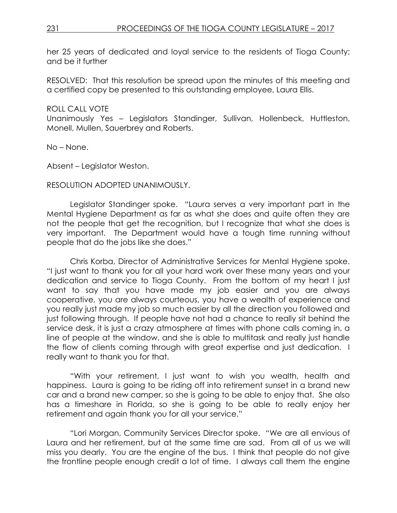her 25 years of dedicated and loyal service to the residents of Tioga County; and be it further

RESOLVED: That this resolution be spread upon the minutes of this meeting and a certified copy be presented to this outstanding employee, Laura Ellis.

### ROLL CALL VOTE

Unanimously Yes – Legislators Standinger, Sullivan, Hollenbeck, Huttleston, Monell, Mullen, Sauerbrey and Roberts.

No – None.

Absent – Legislator Weston.

#### RESOLUTION ADOPTED UNANIMOUSLY.

Legislator Standinger spoke. "Laura serves a very important part in the Mental Hygiene Department as far as what she does and quite often they are not the people that get the recognition, but I recognize that what she does is very important. The Department would have a tough time running without people that do the jobs like she does."

Chris Korba, Director of Administrative Services for Mental Hygiene spoke. "I just want to thank you for all your hard work over these many years and your dedication and service to Tioga County. From the bottom of my heart I just want to say that you have made my job easier and you are always cooperative, you are always courteous, you have a wealth of experience and you really just made my job so much easier by all the direction you followed and just following through. If people have not had a chance to really sit behind the service desk, it is just a crazy atmosphere at times with phone calls coming in, a line of people at the window, and she is able to multitask and really just handle the flow of clients coming through with great expertise and just dedication. I really want to thank you for that.

"With your retirement, I just want to wish you wealth, health and happiness. Laura is going to be riding off into retirement sunset in a brand new car and a brand new camper, so she is going to be able to enjoy that. She also has a timeshare in Florida, so she is going to be able to really enjoy her retirement and again thank you for all your service."

"Lori Morgan, Community Services Director spoke. "We are all envious of Laura and her retirement, but at the same time are sad. From all of us we will miss you dearly. You are the engine of the bus. I think that people do not give the frontline people enough credit a lot of time. I always call them the engine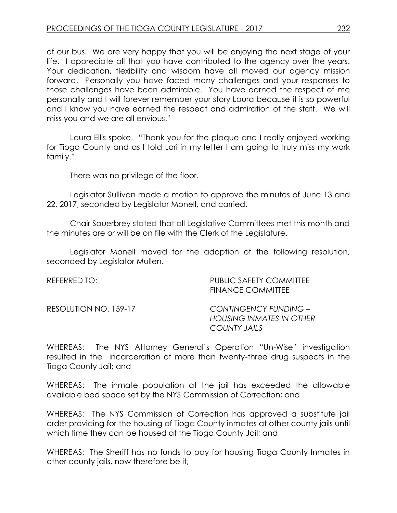of our bus. We are very happy that you will be enjoying the next stage of your life. I appreciate all that you have contributed to the agency over the years. Your dedication, flexibility and wisdom have all moved our agency mission forward. Personally you have faced many challenges and your responses to those challenges have been admirable. You have earned the respect of me personally and I will forever remember your story Laura because it is so powerful and I know you have earned the respect and admiration of the staff. We will miss you and we are all envious."

Laura Ellis spoke. "Thank you for the plaque and I really enjoyed working for Tioga County and as I told Lori in my letter I am going to truly miss my work family."

There was no privilege of the floor.

Legislator Sullivan made a motion to approve the minutes of June 13 and 22, 2017, seconded by Legislator Monell, and carried.

Chair Sauerbrey stated that all Legislative Committees met this month and the minutes are or will be on file with the Clerk of the Legislature.

Legislator Monell moved for the adoption of the following resolution, seconded by Legislator Mullen.

| REFERRED TO:          | <b>PUBLIC SAFETY COMMITTEE</b><br><b>FINANCE COMMITTEE</b>               |
|-----------------------|--------------------------------------------------------------------------|
| RESOLUTION NO. 159-17 | CONTINGENCY FUNDING -<br><b>HOUSING INMATES IN OTHER</b><br>COUNTY JAILS |

WHEREAS: The NYS Attorney General's Operation "Un-Wise" investigation resulted in the incarceration of more than twenty-three drug suspects in the Tioga County Jail; and

WHEREAS: The inmate population at the jail has exceeded the allowable available bed space set by the NYS Commission of Correction; and

WHEREAS: The NYS Commission of Correction has approved a substitute jail order providing for the housing of Tioga County inmates at other county jails until which time they can be housed at the Tioga County Jail; and

WHEREAS: The Sheriff has no funds to pay for housing Tioga County Inmates in other county jails, now therefore be it,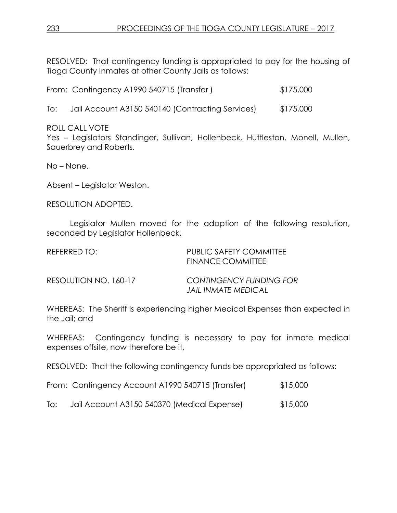RESOLVED: That contingency funding is appropriated to pay for the housing of Tioga County Inmates at other County Jails as follows:

|  | From: Contingency A1990 540715 (Transfer) |  | \$175,000 |
|--|-------------------------------------------|--|-----------|
|--|-------------------------------------------|--|-----------|

To: Jail Account A3150 540140 (Contracting Services) \$175,000

ROLL CALL VOTE

Yes - Legislators Standinger, Sullivan, Hollenbeck, Huttleston, Monell, Mullen, Sauerbrey and Roberts.

No – None.

Absent – Legislator Weston.

RESOLUTION ADOPTED.

Legislator Mullen moved for the adoption of the following resolution, seconded by Legislator Hollenbeck.

| REFERRED TO:          | PUBLIC SAFETY COMMITTEE<br><b>FINANCE COMMITTEE</b>          |
|-----------------------|--------------------------------------------------------------|
| RESOLUTION NO. 160-17 | <b>CONTINGENCY FUNDING FOR</b><br><b>JAIL INMATE MEDICAL</b> |

WHEREAS: The Sheriff is experiencing higher Medical Expenses than expected in the Jail; and

WHEREAS: Contingency funding is necessary to pay for inmate medical expenses offsite, now therefore be it,

RESOLVED: That the following contingency funds be appropriated as follows:

|  | From: Contingency Account A1990 540715 (Transfer) |  |  |  | \$15,000 |
|--|---------------------------------------------------|--|--|--|----------|
|--|---------------------------------------------------|--|--|--|----------|

To: Jail Account A3150 540370 (Medical Expense) \$15,000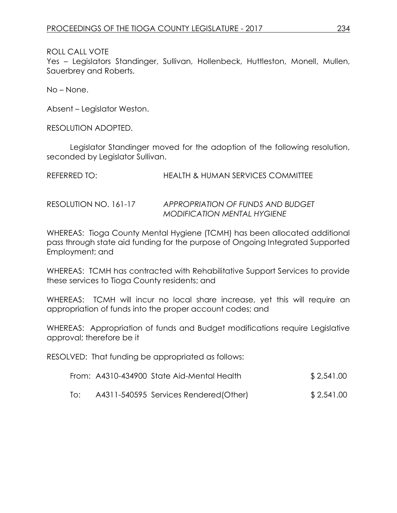Yes – Legislators Standinger, Sullivan, Hollenbeck, Huttleston, Monell, Mullen, Sauerbrey and Roberts.

No – None.

Absent – Legislator Weston.

RESOLUTION ADOPTED.

Legislator Standinger moved for the adoption of the following resolution, seconded by Legislator Sullivan.

| REFERRED TO:          | <b>HEALTH &amp; HUMAN SERVICES COMMITTEE</b> |  |
|-----------------------|----------------------------------------------|--|
|                       |                                              |  |
| RESOLUTION NO. 161-17 | APPROPRIATION OF FUNDS AND BUDGET            |  |

WHEREAS: Tioga County Mental Hygiene (TCMH) has been allocated additional pass through state aid funding for the purpose of Ongoing Integrated Supported Employment; and

*MODIFICATION MENTAL HYGIENE*

WHEREAS: TCMH has contracted with Rehabilitative Support Services to provide these services to Tioga County residents; and

WHEREAS: TCMH will incur no local share increase, yet this will require an appropriation of funds into the proper account codes; and

WHEREAS: Appropriation of funds and Budget modifications require Legislative approval; therefore be it

RESOLVED: That funding be appropriated as follows:

|                  | From: A4310-434900 State Aid-Mental Health | \$2,541.00 |
|------------------|--------------------------------------------|------------|
| $\overline{O}$ : | A4311-540595 Services Rendered (Other)     | \$2,541.00 |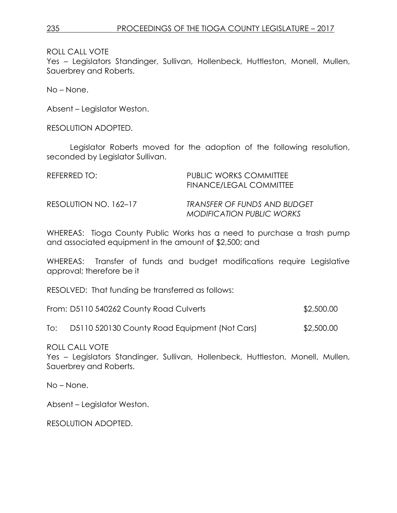Yes – Legislators Standinger, Sullivan, Hollenbeck, Huttleston, Monell, Mullen, Sauerbrey and Roberts.

No – None.

Absent – Legislator Weston.

RESOLUTION ADOPTED.

Legislator Roberts moved for the adoption of the following resolution, seconded by Legislator Sullivan.

| REFERRED TO:          | PUBLIC WORKS COMMITTEE<br>FINANCE/LEGAL COMMITTEE                |
|-----------------------|------------------------------------------------------------------|
| RESOLUTION NO. 162-17 | TRANSFER OF FUNDS AND BUDGET<br><b>MODIFICATION PUBLIC WORKS</b> |

WHEREAS: Tioga County Public Works has a need to purchase a trash pump and associated equipment in the amount of \$2,500; and

WHEREAS: Transfer of funds and budget modifications require Legislative approval; therefore be it

RESOLVED: That funding be transferred as follows:

| From: D5110 540262 County Road Culverts | \$2,500.00 |
|-----------------------------------------|------------|
|-----------------------------------------|------------|

To: D5110 520130 County Road Equipment (Not Cars) \$2,500.00

ROLL CALL VOTE

Yes – Legislators Standinger, Sullivan, Hollenbeck, Huttleston, Monell, Mullen, Sauerbrey and Roberts.

No – None.

Absent – Legislator Weston.

RESOLUTION ADOPTED.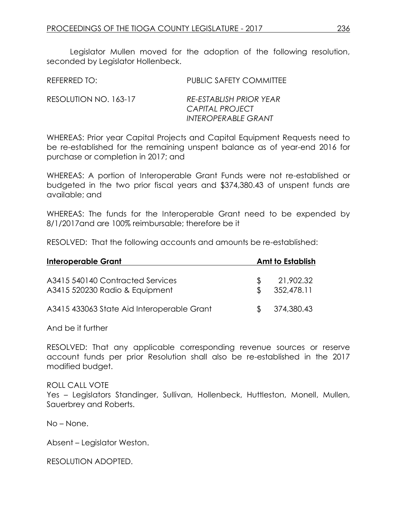Legislator Mullen moved for the adoption of the following resolution, seconded by Legislator Hollenbeck.

| REFERRED TO:          | <b>PUBLIC SAFETY COMMITTEE</b>             |
|-----------------------|--------------------------------------------|
| RESOLUTION NO. 163-17 | RE-ESTABLISH PRIOR YEAR<br>CAPITAL PROJECT |
|                       | <b>INTEROPERABLE GRANT</b>                 |

WHEREAS: Prior year Capital Projects and Capital Equipment Requests need to be re-established for the remaining unspent balance as of year-end 2016 for purchase or completion in 2017; and

WHEREAS: A portion of Interoperable Grant Funds were not re-established or budgeted in the two prior fiscal years and \$374,380.43 of unspent funds are available; and

WHEREAS: The funds for the Interoperable Grant need to be expended by 8/1/2017and are 100% reimbursable; therefore be it

RESOLVED: That the following accounts and amounts be re-established:

| Interoperable Grant                                                |               | <b>Amt to Establish</b> |
|--------------------------------------------------------------------|---------------|-------------------------|
| A3415 540140 Contracted Services<br>A3415 520230 Radio & Equipment | £.            | 21,902.32<br>352,478.11 |
| A3415 433063 State Aid Interoperable Grant                         | $\mathcal{S}$ | 374,380.43              |

And be it further

RESOLVED: That any applicable corresponding revenue sources or reserve account funds per prior Resolution shall also be re-established in the 2017 modified budget.

#### ROLL CALL VOTE

Yes - Legislators Standinger, Sullivan, Hollenbeck, Huttleston, Monell, Mullen, Sauerbrey and Roberts.

No – None.

Absent – Legislator Weston.

RESOLUTION ADOPTED.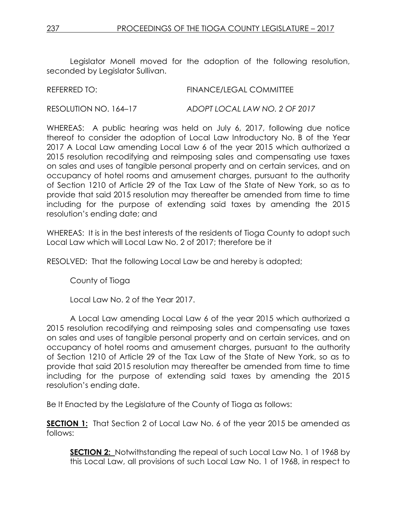Legislator Monell moved for the adoption of the following resolution, seconded by Legislator Sullivan.

| REFERRED TO:          | <b>FINANCE/LEGAL COMMITTEE</b> |
|-----------------------|--------------------------------|
| RESOLUTION NO. 164-17 | ADOPT LOCAL LAW NO. 2 OF 2017  |

WHEREAS: A public hearing was held on July 6, 2017, following due notice thereof to consider the adoption of Local Law Introductory No. B of the Year 2017 A Local Law amending Local Law 6 of the year 2015 which authorized a 2015 resolution recodifying and reimposing sales and compensating use taxes on sales and uses of tangible personal property and on certain services, and on occupancy of hotel rooms and amusement charges, pursuant to the authority of Section 1210 of Article 29 of the Tax Law of the State of New York, so as to provide that said 2015 resolution may thereafter be amended from time to time including for the purpose of extending said taxes by amending the 2015 resolution's ending date; and

WHEREAS: It is in the best interests of the residents of Tioga County to adopt such Local Law which will Local Law No. 2 of 2017; therefore be it

RESOLVED: That the following Local Law be and hereby is adopted;

County of Tioga

Local Law No. 2 of the Year 2017.

A Local Law amending Local Law 6 of the year 2015 which authorized a 2015 resolution recodifying and reimposing sales and compensating use taxes on sales and uses of tangible personal property and on certain services, and on occupancy of hotel rooms and amusement charges, pursuant to the authority of Section 1210 of Article 29 of the Tax Law of the State of New York, so as to provide that said 2015 resolution may thereafter be amended from time to time including for the purpose of extending said taxes by amending the 2015 resolution's ending date.

Be It Enacted by the Legislature of the County of Tioga as follows:

**SECTION 1:** That Section 2 of Local Law No. 6 of the year 2015 be amended as follows:

**SECTION 2:** Notwithstanding the repeal of such Local Law No. 1 of 1968 by this Local Law, all provisions of such Local Law No. 1 of 1968, in respect to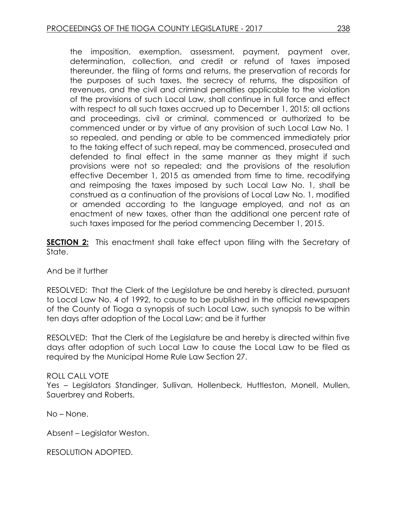the imposition, exemption, assessment, payment, payment over, determination, collection, and credit or refund of taxes imposed thereunder, the filing of forms and returns, the preservation of records for the purposes of such taxes, the secrecy of returns, the disposition of revenues, and the civil and criminal penalties applicable to the violation of the provisions of such Local Law, shall continue in full force and effect with respect to all such taxes accrued up to December 1, 2015; all actions and proceedings, civil or criminal, commenced or authorized to be commenced under or by virtue of any provision of such Local Law No. 1 so repealed, and pending or able to be commenced immediately prior to the taking effect of such repeal, may be commenced, prosecuted and defended to final effect in the same manner as they might if such provisions were not so repealed; and the provisions of the resolution effective December 1, 2015 as amended from time to time, recodifying and reimposing the taxes imposed by such Local Law No. 1, shall be construed as a continuation of the provisions of Local Law No. 1, modified or amended according to the language employed, and not as an enactment of new taxes, other than the additional one percent rate of such taxes imposed for the period commencing December 1, 2015.

**SECTION 2:** This enactment shall take effect upon filing with the Secretary of State.

And be it further

RESOLVED: That the Clerk of the Legislature be and hereby is directed, pursuant to Local Law No. 4 of 1992, to cause to be published in the official newspapers of the County of Tioga a synopsis of such Local Law, such synopsis to be within ten days after adoption of the Local Law; and be it further

RESOLVED: That the Clerk of the Legislature be and hereby is directed within five days after adoption of such Local Law to cause the Local Law to be filed as required by the Municipal Home Rule Law Section 27.

### ROLL CALL VOTE

Yes – Legislators Standinger, Sullivan, Hollenbeck, Huttleston, Monell, Mullen, Sauerbrey and Roberts.

No – None.

Absent – Legislator Weston.

RESOLUTION ADOPTED.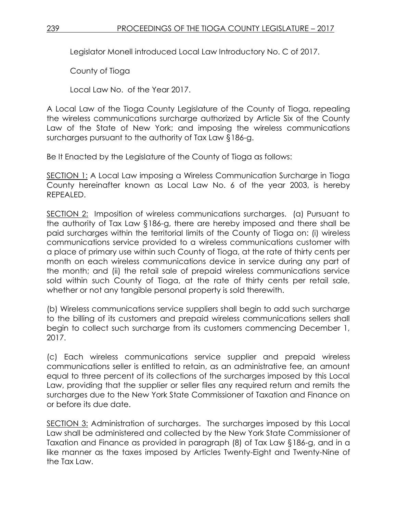Legislator Monell introduced Local Law Introductory No. C of 2017.

County of Tioga

Local Law No. of the Year 2017.

A Local Law of the Tioga County Legislature of the County of Tioga, repealing the wireless communications surcharge authorized by Article Six of the County Law of the State of New York; and imposing the wireless communications surcharges pursuant to the authority of Tax Law §186-g.

Be It Enacted by the Legislature of the County of Tioga as follows:

SECTION 1: A Local Law imposing a Wireless Communication Surcharge in Tioga County hereinafter known as Local Law No. 6 of the year 2003, is hereby REPEALED.

SECTION 2: Imposition of wireless communications surcharges. (a) Pursuant to the authority of Tax Law §186-g, there are hereby imposed and there shall be paid surcharges within the territorial limits of the County of Tioga on: (i) wireless communications service provided to a wireless communications customer with a place of primary use within such County of Tioga, at the rate of thirty cents per month on each wireless communications device in service during any part of the month; and (ii) the retail sale of prepaid wireless communications service sold within such County of Tioga, at the rate of thirty cents per retail sale, whether or not any tangible personal property is sold therewith.

(b) Wireless communications service suppliers shall begin to add such surcharge to the billing of its customers and prepaid wireless communications sellers shall begin to collect such surcharge from its customers commencing December 1, 2017.

(c) Each wireless communications service supplier and prepaid wireless communications seller is entitled to retain, as an administrative fee, an amount equal to three percent of its collections of the surcharges imposed by this Local Law, providing that the supplier or seller files any required return and remits the surcharges due to the New York State Commissioner of Taxation and Finance on or before its due date.

SECTION 3: Administration of surcharges. The surcharges imposed by this Local Law shall be administered and collected by the New York State Commissioner of Taxation and Finance as provided in paragraph (8) of Tax Law §186-g, and in a like manner as the taxes imposed by Articles Twenty-Eight and Twenty-Nine of the Tax Law.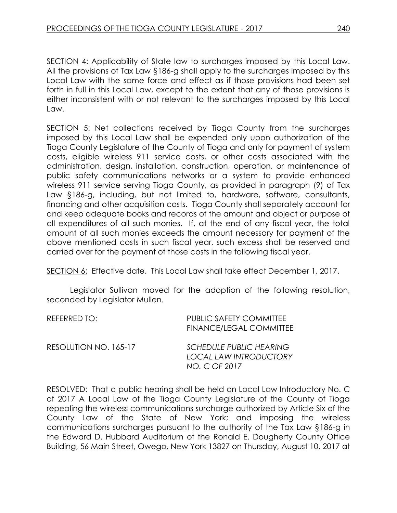SECTION 4: Applicability of State law to surcharges imposed by this Local Law. All the provisions of Tax Law §186-g shall apply to the surcharges imposed by this Local Law with the same force and effect as if those provisions had been set forth in full in this Local Law, except to the extent that any of those provisions is either inconsistent with or not relevant to the surcharges imposed by this Local Law.

SECTION 5: Net collections received by Tioga County from the surcharges imposed by this Local Law shall be expended only upon authorization of the Tioga County Legislature of the County of Tioga and only for payment of system costs, eligible wireless 911 service costs, or other costs associated with the administration, design, installation, construction, operation, or maintenance of public safety communications networks or a system to provide enhanced wireless 911 service serving Tioga County, as provided in paragraph (9) of Tax Law §186-g, including, but not limited to, hardware, software, consultants, financing and other acquisition costs. Tioga County shall separately account for and keep adequate books and records of the amount and object or purpose of all expenditures of all such monies. If, at the end of any fiscal year, the total amount of all such monies exceeds the amount necessary for payment of the above mentioned costs in such fiscal year, such excess shall be reserved and carried over for the payment of those costs in the following fiscal year.

SECTION 6: Effective date. This Local Law shall take effect December 1, 2017.

Legislator Sullivan moved for the adoption of the following resolution, seconded by Legislator Mullen.

| REFERRED TO:          | <b>PUBLIC SAFETY COMMITTEE</b><br><b>FINANCE/LEGAL COMMITTEE</b>                 |
|-----------------------|----------------------------------------------------------------------------------|
| RESOLUTION NO. 165-17 | <b>SCHEDULE PUBLIC HEARING</b><br><b>LOCAL LAW INTRODUCTORY</b><br>NO. C OF 2017 |

RESOLVED: That a public hearing shall be held on Local Law Introductory No. C of 2017 A Local Law of the Tioga County Legislature of the County of Tioga repealing the wireless communications surcharge authorized by Article Six of the County Law of the State of New York; and imposing the wireless communications surcharges pursuant to the authority of the Tax Law §186-g in the Edward D. Hubbard Auditorium of the Ronald E. Dougherty County Office Building, 56 Main Street, Owego, New York 13827 on Thursday, August 10, 2017 at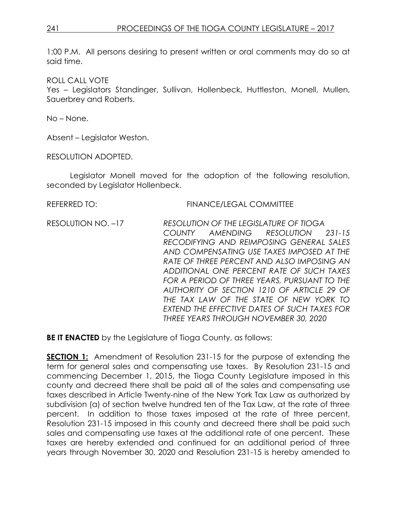1:00 P.M. All persons desiring to present written or oral comments may do so at said time.

ROLL CALL VOTE

Yes – Legislators Standinger, Sullivan, Hollenbeck, Huttleston, Monell, Mullen, Sauerbrey and Roberts.

No – None.

Absent – Legislator Weston.

RESOLUTION ADOPTED.

Legislator Monell moved for the adoption of the following resolution, seconded by Legislator Hollenbeck.

REFERRED TO: FINANCE/LEGAL COMMITTEE RESOLUTION NO. –17 *RESOLUTION OF THE LEGISLATURE OF TIOGA COUNTY AMENDING RESOLUTION 231-15 RECODIFYING AND REIMPOSING GENERAL SALES AND COMPENSATING USE TAXES IMPOSED AT THE RATE OF THREE PERCENT AND ALSO IMPOSING AN ADDITIONAL ONE PERCENT RATE OF SUCH TAXES FOR A PERIOD OF THREE YEARS, PURSUANT TO THE AUTHORITY OF SECTION 1210 OF ARTICLE 29 OF THE TAX LAW OF THE STATE OF NEW YORK TO EXTEND THE EFFECTIVE DATES OF SUCH TAXES FOR THREE YEARS THROUGH NOVEMBER 30, 2020*

**BE IT ENACTED** by the Legislature of Tioga County, as follows:

**SECTION 1:** Amendment of Resolution 231-15 for the purpose of extending the term for general sales and compensating use taxes. By Resolution 231-15 and commencing December 1, 2015, the Tioga County Legislature imposed in this county and decreed there shall be paid all of the sales and compensating use taxes described in Article Twenty-nine of the New York Tax Law as authorized by subdivision (a) of section twelve hundred ten of the Tax Law, at the rate of three percent. In addition to those taxes imposed at the rate of three percent, Resolution 231-15 imposed in this county and decreed there shall be paid such sales and compensating use taxes at the additional rate of one percent. These taxes are hereby extended and continued for an additional period of three years through November 30, 2020 and Resolution 231-15 is hereby amended to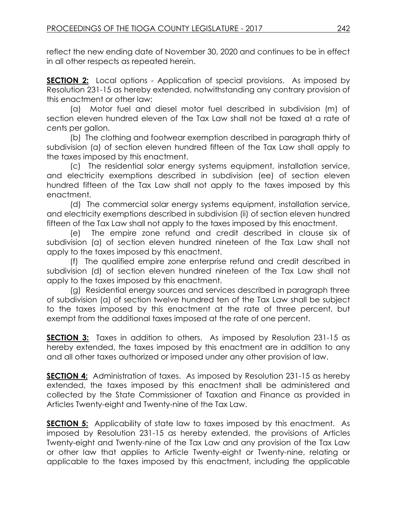reflect the new ending date of November 30, 2020 and continues to be in effect in all other respects as repeated herein.

**SECTION 2:** Local options - Application of special provisions. As imposed by Resolution 231-15 as hereby extended, notwithstanding any contrary provision of this enactment or other law:

(a) Motor fuel and diesel motor fuel described in subdivision (m) of section eleven hundred eleven of the Tax Law shall not be taxed at a rate of cents per gallon.

(b) The clothing and footwear exemption described in paragraph thirty of subdivision (a) of section eleven hundred fifteen of the Tax Law shall apply to the taxes imposed by this enactment.

(c) The residential solar energy systems equipment, installation service, and electricity exemptions described in subdivision (ee) of section eleven hundred fifteen of the Tax Law shall not apply to the taxes imposed by this enactment.

(d) The commercial solar energy systems equipment, installation service, and electricity exemptions described in subdivision (ii) of section eleven hundred fifteen of the Tax Law shall not apply to the taxes imposed by this enactment.

(e) The empire zone refund and credit described in clause six of subdivision (a) of section eleven hundred nineteen of the Tax Law shall not apply to the taxes imposed by this enactment.

(f) The qualified empire zone enterprise refund and credit described in subdivision (d) of section eleven hundred nineteen of the Tax Law shall not apply to the taxes imposed by this enactment.

(g) Residential energy sources and services described in paragraph three of subdivision (a) of section twelve hundred ten of the Tax Law shall be subject to the taxes imposed by this enactment at the rate of three percent, but exempt from the additional taxes imposed at the rate of one percent.

**SECTION 3:** Taxes in addition to others. As imposed by Resolution 231-15 as hereby extended, the taxes imposed by this enactment are in addition to any and all other taxes authorized or imposed under any other provision of law.

**SECTION 4:** Administration of taxes. As imposed by Resolution 231-15 as hereby extended, the taxes imposed by this enactment shall be administered and collected by the State Commissioner of Taxation and Finance as provided in Articles Twenty-eight and Twenty-nine of the Tax Law.

**SECTION 5:** Applicability of state law to taxes imposed by this enactment. As imposed by Resolution 231-15 as hereby extended, the provisions of Articles Twenty-eight and Twenty-nine of the Tax Law and any provision of the Tax Law or other law that applies to Article Twenty-eight or Twenty-nine, relating or applicable to the taxes imposed by this enactment, including the applicable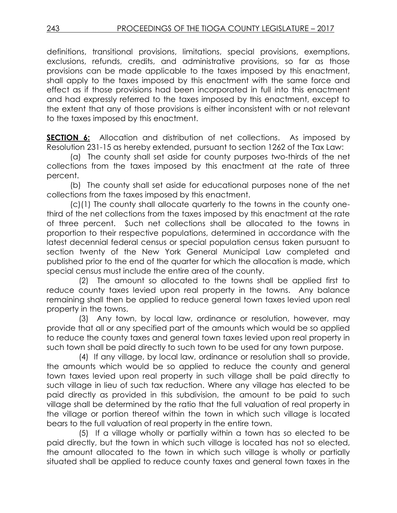definitions, transitional provisions, limitations, special provisions, exemptions, exclusions, refunds, credits, and administrative provisions, so far as those provisions can be made applicable to the taxes imposed by this enactment, shall apply to the taxes imposed by this enactment with the same force and effect as if those provisions had been incorporated in full into this enactment and had expressly referred to the taxes imposed by this enactment, except to the extent that any of those provisions is either inconsistent with or not relevant to the taxes imposed by this enactment.

**SECTION 6:** Allocation and distribution of net collections. As imposed by Resolution 231-15 as hereby extended, pursuant to section 1262 of the Tax Law:

(a) The county shall set aside for county purposes two-thirds of the net collections from the taxes imposed by this enactment at the rate of three percent.

(b) The county shall set aside for educational purposes none of the net collections from the taxes imposed by this enactment.

(c)(1) The county shall allocate quarterly to the towns in the county onethird of the net collections from the taxes imposed by this enactment at the rate of three percent. Such net collections shall be allocated to the towns in proportion to their respective populations, determined in accordance with the latest decennial federal census or special population census taken pursuant to section twenty of the New York General Municipal Law completed and published prior to the end of the quarter for which the allocation is made, which special census must include the entire area of the county.

 (2) The amount so allocated to the towns shall be applied first to reduce county taxes levied upon real property in the towns. Any balance remaining shall then be applied to reduce general town taxes levied upon real property in the towns.

 (3) Any town, by local law, ordinance or resolution, however, may provide that all or any specified part of the amounts which would be so applied to reduce the county taxes and general town taxes levied upon real property in such town shall be paid directly to such town to be used for any town purpose.

 (4) If any village, by local law, ordinance or resolution shall so provide, the amounts which would be so applied to reduce the county and general town taxes levied upon real property in such village shall be paid directly to such village in lieu of such tax reduction. Where any village has elected to be paid directly as provided in this subdivision, the amount to be paid to such village shall be determined by the ratio that the full valuation of real property in the village or portion thereof within the town in which such village is located bears to the full valuation of real property in the entire town.

 (5) If a village wholly or partially within a town has so elected to be paid directly, but the town in which such village is located has not so elected, the amount allocated to the town in which such village is wholly or partially situated shall be applied to reduce county taxes and general town taxes in the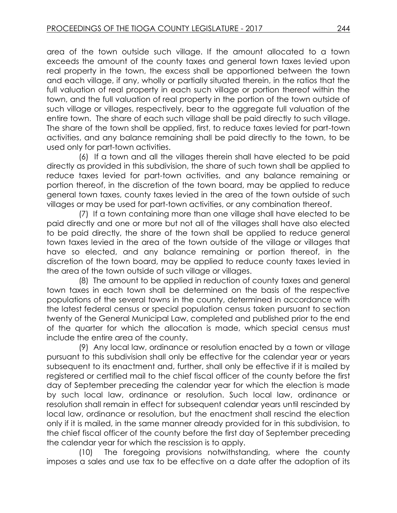area of the town outside such village. If the amount allocated to a town exceeds the amount of the county taxes and general town taxes levied upon real property in the town, the excess shall be apportioned between the town and each village, if any, wholly or partially situated therein, in the ratios that the full valuation of real property in each such village or portion thereof within the town, and the full valuation of real property in the portion of the town outside of such village or villages, respectively, bear to the aggregate full valuation of the entire town. The share of each such village shall be paid directly to such village. The share of the town shall be applied, first, to reduce taxes levied for part-town activities, and any balance remaining shall be paid directly to the town, to be used only for part-town activities.

 (6) If a town and all the villages therein shall have elected to be paid directly as provided in this subdivision, the share of such town shall be applied to reduce taxes levied for part-town activities, and any balance remaining or portion thereof, in the discretion of the town board, may be applied to reduce general town taxes, county taxes levied in the area of the town outside of such villages or may be used for part-town activities, or any combination thereof.

 (7) If a town containing more than one village shall have elected to be paid directly and one or more but not all of the villages shall have also elected to be paid directly, the share of the town shall be applied to reduce general town taxes levied in the area of the town outside of the village or villages that have so elected, and any balance remaining or portion thereof, in the discretion of the town board, may be applied to reduce county taxes levied in the area of the town outside of such village or villages.

 (8) The amount to be applied in reduction of county taxes and general town taxes in each town shall be determined on the basis of the respective populations of the several towns in the county, determined in accordance with the latest federal census or special population census taken pursuant to section twenty of the General Municipal Law, completed and published prior to the end of the quarter for which the allocation is made, which special census must include the entire area of the county.

 (9) Any local law, ordinance or resolution enacted by a town or village pursuant to this subdivision shall only be effective for the calendar year or years subsequent to its enactment and, further, shall only be effective if it is mailed by registered or certified mail to the chief fiscal officer of the county before the first day of September preceding the calendar year for which the election is made by such local law, ordinance or resolution. Such local law, ordinance or resolution shall remain in effect for subsequent calendar years until rescinded by local law, ordinance or resolution, but the enactment shall rescind the election only if it is mailed, in the same manner already provided for in this subdivision, to the chief fiscal officer of the county before the first day of September preceding the calendar year for which the rescission is to apply.

 (10) The foregoing provisions notwithstanding, where the county imposes a sales and use tax to be effective on a date after the adoption of its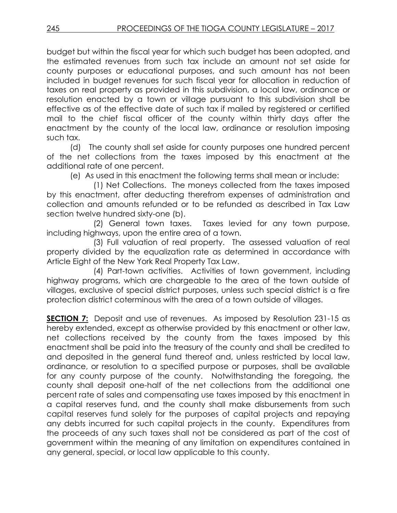budget but within the fiscal year for which such budget has been adopted, and the estimated revenues from such tax include an amount not set aside for county purposes or educational purposes, and such amount has not been included in budget revenues for such fiscal year for allocation in reduction of taxes on real property as provided in this subdivision, a local law, ordinance or resolution enacted by a town or village pursuant to this subdivision shall be effective as of the effective date of such tax if mailed by registered or certified mail to the chief fiscal officer of the county within thirty days after the enactment by the county of the local law, ordinance or resolution imposing such tax.

(d) The county shall set aside for county purposes one hundred percent of the net collections from the taxes imposed by this enactment at the additional rate of one percent.

(e) As used in this enactment the following terms shall mean or include:

(1) Net Collections. The moneys collected from the taxes imposed by this enactment, after deducting therefrom expenses of administration and collection and amounts refunded or to be refunded as described in Tax Law section twelve hundred sixty-one (b).

(2) General town taxes. Taxes levied for any town purpose, including highways, upon the entire area of a town.

(3) Full valuation of real property. The assessed valuation of real property divided by the equalization rate as determined in accordance with Article Eight of the New York Real Property Tax Law.

(4) Part-town activities. Activities of town government, including highway programs, which are chargeable to the area of the town outside of villages, exclusive of special district purposes, unless such special district is a fire protection district coterminous with the area of a town outside of villages.

**SECTION 7:** Deposit and use of revenues. As imposed by Resolution 231-15 as hereby extended, except as otherwise provided by this enactment or other law, net collections received by the county from the taxes imposed by this enactment shall be paid into the treasury of the county and shall be credited to and deposited in the general fund thereof and, unless restricted by local law, ordinance, or resolution to a specified purpose or purposes, shall be available for any county purpose of the county. Notwithstanding the foregoing, the county shall deposit one-half of the net collections from the additional one percent rate of sales and compensating use taxes imposed by this enactment in a capital reserves fund, and the county shall make disbursements from such capital reserves fund solely for the purposes of capital projects and repaying any debts incurred for such capital projects in the county. Expenditures from the proceeds of any such taxes shall not be considered as part of the cost of government within the meaning of any limitation on expenditures contained in any general, special, or local law applicable to this county.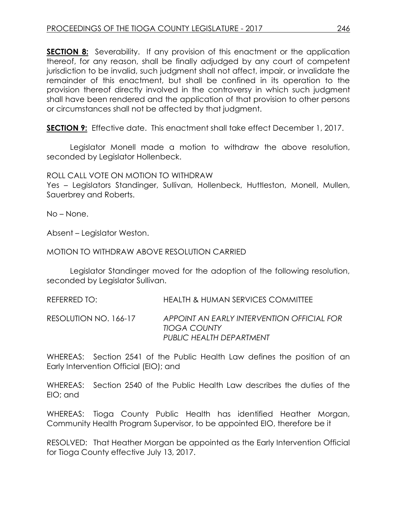**SECTION 8:** Severability. If any provision of this enactment or the application thereof, for any reason, shall be finally adjudged by any court of competent jurisdiction to be invalid, such judgment shall not affect, impair, or invalidate the remainder of this enactment, but shall be confined in its operation to the provision thereof directly involved in the controversy in which such judgment shall have been rendered and the application of that provision to other persons or circumstances shall not be affected by that judgment.

**SECTION 9:** Effective date. This enactment shall take effect December 1, 2017.

Legislator Monell made a motion to withdraw the above resolution, seconded by Legislator Hollenbeck.

### ROLL CALL VOTE ON MOTION TO WITHDRAW

Yes – Legislators Standinger, Sullivan, Hollenbeck, Huttleston, Monell, Mullen, Sauerbrey and Roberts.

No – None.

Absent – Legislator Weston.

### MOTION TO WITHDRAW ABOVE RESOLUTION CARRIED

Legislator Standinger moved for the adoption of the following resolution, seconded by Legislator Sullivan.

REFERRED TO: HEALTH & HUMAN SERVICES COMMITTEE

RESOLUTION NO. 166-17 *APPOINT AN EARLY INTERVENTION OFFICIAL FOR TIOGA COUNTY PUBLIC HEALTH DEPARTMENT*

WHEREAS: Section 2541 of the Public Health Law defines the position of an Early Intervention Official (EIO); and

WHEREAS: Section 2540 of the Public Health Law describes the duties of the EIO; and

WHEREAS: Tioga County Public Health has identified Heather Morgan, Community Health Program Supervisor, to be appointed EIO, therefore be it

RESOLVED: That Heather Morgan be appointed as the Early Intervention Official for Tioga County effective July 13, 2017.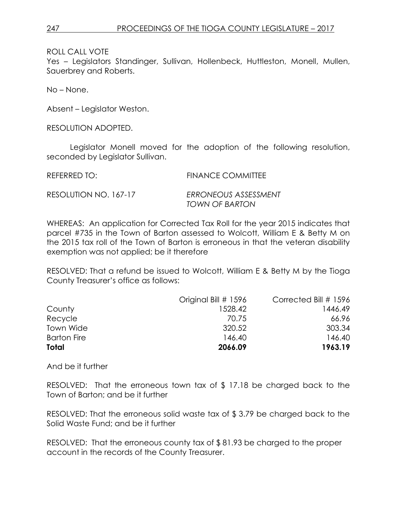Yes – Legislators Standinger, Sullivan, Hollenbeck, Huttleston, Monell, Mullen, Sauerbrey and Roberts.

No – None.

Absent – Legislator Weston.

RESOLUTION ADOPTED.

Legislator Monell moved for the adoption of the following resolution, seconded by Legislator Sullivan.

REFERRED TO: FINANCE COMMITTEE

RESOLUTION NO. 167-17 *ERRONEOUS ASSESSMENT*

*TOWN OF BARTON*

WHEREAS: An application for Corrected Tax Roll for the year 2015 indicates that parcel #735 in the Town of Barton assessed to Wolcott, William E & Betty M on the 2015 tax roll of the Town of Barton is erroneous in that the veteran disability exemption was not applied; be it therefore

RESOLVED: That a refund be issued to Wolcott, William E & Betty M by the Tioga County Treasurer's office as follows:

| Total              | 2066.09              | 1963.19               |
|--------------------|----------------------|-----------------------|
| <b>Barton Fire</b> | 146.40               | 146.40                |
| Town Wide          | 320.52               | 303.34                |
| Recycle            | 70.75                | 66.96                 |
| County             | 1528.42              | 1446.49               |
|                    | Original Bill # 1596 | Corrected Bill # 1596 |

And be it further

RESOLVED: That the erroneous town tax of \$ 17.18 be charged back to the Town of Barton; and be it further

RESOLVED: That the erroneous solid waste tax of \$ 3.79 be charged back to the Solid Waste Fund; and be it further

RESOLVED: That the erroneous county tax of \$ 81.93 be charged to the proper account in the records of the County Treasurer.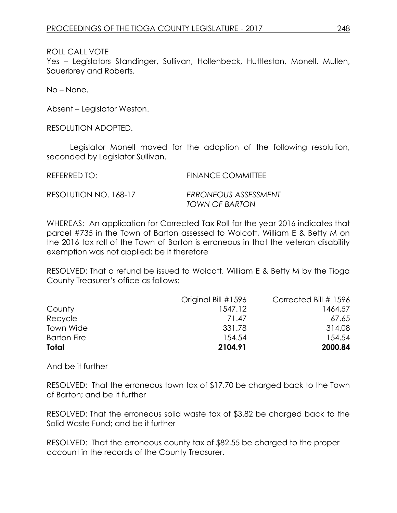Yes – Legislators Standinger, Sullivan, Hollenbeck, Huttleston, Monell, Mullen, Sauerbrey and Roberts.

No – None.

Absent – Legislator Weston.

RESOLUTION ADOPTED.

Legislator Monell moved for the adoption of the following resolution, seconded by Legislator Sullivan.

REFERRED TO: FINANCE COMMITTEE

RESOLUTION NO. 168-17 *ERRONEOUS ASSESSMENT*

*TOWN OF BARTON*

WHEREAS: An application for Corrected Tax Roll for the year 2016 indicates that parcel #735 in the Town of Barton assessed to Wolcott, William E & Betty M on the 2016 tax roll of the Town of Barton is erroneous in that the veteran disability exemption was not applied; be it therefore

RESOLVED: That a refund be issued to Wolcott, William E & Betty M by the Tioga County Treasurer's office as follows:

| Total              | 2104.91             | 2000.84               |
|--------------------|---------------------|-----------------------|
| <b>Barton Fire</b> | 154.54              | 154.54                |
| Town Wide          | 331.78              | 314.08                |
| Recycle            | 71.47               | 67.65                 |
| County             | 1547.12             | 1464.57               |
|                    | Original Bill #1596 | Corrected Bill # 1596 |

And be it further

RESOLVED: That the erroneous town tax of \$17.70 be charged back to the Town of Barton; and be it further

RESOLVED: That the erroneous solid waste tax of \$3.82 be charged back to the Solid Waste Fund; and be it further

RESOLVED: That the erroneous county tax of \$82.55 be charged to the proper account in the records of the County Treasurer.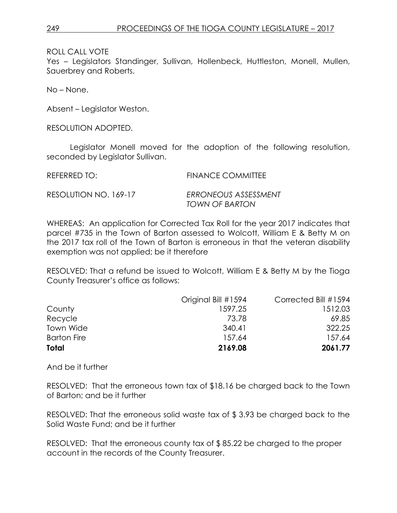Yes – Legislators Standinger, Sullivan, Hollenbeck, Huttleston, Monell, Mullen, Sauerbrey and Roberts.

No – None.

Absent – Legislator Weston.

RESOLUTION ADOPTED.

Legislator Monell moved for the adoption of the following resolution, seconded by Legislator Sullivan.

REFERRED TO: FINANCE COMMITTEE

RESOLUTION NO. 169-17 *ERRONEOUS ASSESSMENT TOWN OF BARTON*

WHEREAS: An application for Corrected Tax Roll for the year 2017 indicates that parcel #735 in the Town of Barton assessed to Wolcott, William E & Betty M on the 2017 tax roll of the Town of Barton is erroneous in that the veteran disability exemption was not applied; be it therefore

RESOLVED: That a refund be issued to Wolcott, William E & Betty M by the Tioga County Treasurer's office as follows:

| Total              | 2169.08             | 2061.77              |
|--------------------|---------------------|----------------------|
| <b>Barton Fire</b> | 157.64              | 157.64               |
| Town Wide          | 340.41              | 322.25               |
| Recycle            | 73.78               | 69.85                |
| County             | 1597.25             | 1512.03              |
|                    | Original Bill #1594 | Corrected Bill #1594 |

And be it further

RESOLVED: That the erroneous town tax of \$18.16 be charged back to the Town of Barton; and be it further

RESOLVED: That the erroneous solid waste tax of \$ 3.93 be charged back to the Solid Waste Fund; and be it further

RESOLVED: That the erroneous county tax of \$ 85.22 be charged to the proper account in the records of the County Treasurer.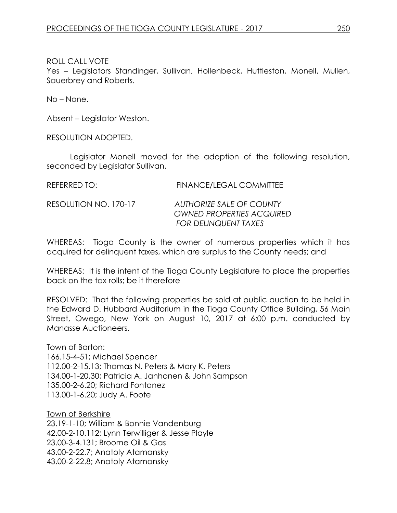Yes – Legislators Standinger, Sullivan, Hollenbeck, Huttleston, Monell, Mullen, Sauerbrey and Roberts.

No – None.

Absent – Legislator Weston.

RESOLUTION ADOPTED.

Legislator Monell moved for the adoption of the following resolution, seconded by Legislator Sullivan.

| REFERRED TO: | <b>FINANCE/LEGAL COMMITTEE</b> |  |  |
|--------------|--------------------------------|--|--|
|              |                                |  |  |

### RESOLUTION NO. 170-17 *AUTHORIZE SALE OF COUNTY OWNED PROPERTIES ACQUIRED FOR DELINQUENT TAXES*

WHEREAS: Tioga County is the owner of numerous properties which it has acquired for delinquent taxes, which are surplus to the County needs; and

WHEREAS: It is the intent of the Tioga County Legislature to place the properties back on the tax rolls; be it therefore

RESOLVED: That the following properties be sold at public auction to be held in the Edward D. Hubbard Auditorium in the Tioga County Office Building, 56 Main Street, Owego, New York on August 10, 2017 at 6:00 p.m. conducted by Manasse Auctioneers.

Town of Barton: 166.15-4-51; Michael Spencer 112.00-2-15.13; Thomas N. Peters & Mary K. Peters 134.00-1-20.30; Patricia A. Janhonen & John Sampson 135.00-2-6.20; Richard Fontanez 113.00-1-6.20; Judy A. Foote

Town of Berkshire 23.19-1-10; William & Bonnie Vandenburg 42.00-2-10.112; Lynn Terwilliger & Jesse Playle 23.00-3-4.131; Broome Oil & Gas 43.00-2-22.7; Anatoly Atamansky 43.00-2-22.8; Anatoly Atamansky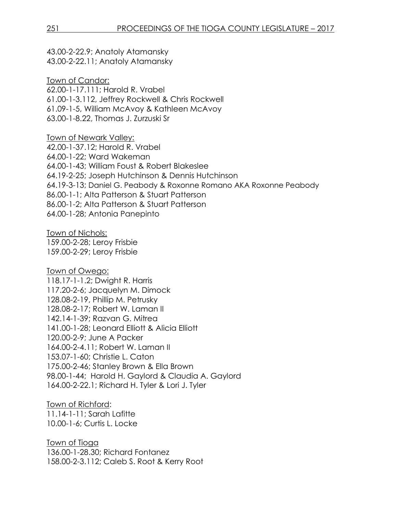43.00-2-22.9; Anatoly Atamansky 43.00-2-22.11; Anatoly Atamansky

Town of Candor: 62.00-1-17.111; Harold R. Vrabel 61.00-1-3.112, Jeffrey Rockwell & Chris Rockwell 61.09-1-5, William McAvoy & Kathleen McAvoy 63.00-1-8.22, Thomas J. Zurzuski Sr

Town of Newark Valley: 42.00-1-37.12; Harold R. Vrabel 64.00-1-22; Ward Wakeman 64.00-1-43; William Foust & Robert Blakeslee 64.19-2-25; Joseph Hutchinson & Dennis Hutchinson 64.19-3-13; Daniel G. Peabody & Roxonne Romano AKA Roxonne Peabody 86.00-1-1; Alta Patterson & Stuart Patterson 86.00-1-2; Alta Patterson & Stuart Patterson 64.00-1-28; Antonia Panepinto

Town of Nichols:

159.00-2-28; Leroy Frisbie 159.00-2-29; Leroy Frisbie

Town of Owego: 118.17-1-1.2; Dwight R. Harris 117.20-2-6; Jacquelyn M. Dimock 128.08-2-19, Phillip M. Petrusky 128.08-2-17; Robert W. Laman II 142.14-1-39; Razvan G. Mitrea 141.00-1-28; Leonard Elliott & Alicia Elliott 120.00-2-9; June A Packer 164.00-2-4.11; Robert W. Laman II 153.07-1-60; Christie L. Caton 175.00-2-46; Stanley Brown & Ella Brown 98.00-1-44; Harold H. Gaylord & Claudia A. Gaylord 164.00-2-22.1; Richard H. Tyler & Lori J. Tyler

Town of Richford: 11.14-1-11; Sarah Lafitte 10.00-1-6; Curtis L. Locke

Town of Tioga 136.00-1-28.30; Richard Fontanez 158.00-2-3.112; Caleb S. Root & Kerry Root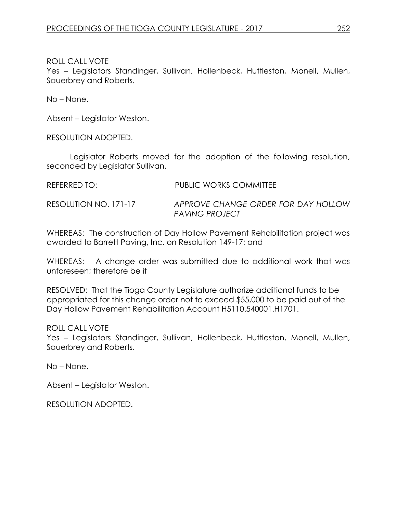Yes - Legislators Standinger, Sullivan, Hollenbeck, Huttleston, Monell, Mullen, Sauerbrey and Roberts.

No – None.

Absent – Legislator Weston.

RESOLUTION ADOPTED.

Legislator Roberts moved for the adoption of the following resolution, seconded by Legislator Sullivan.

REFERRED TO: PUBLIC WORKS COMMITTEE

RESOLUTION NO. 171-17 *APPROVE CHANGE ORDER FOR DAY HOLLOW PAVING PROJECT* 

WHEREAS: The construction of Day Hollow Pavement Rehabilitation project was awarded to Barrett Paving, Inc. on Resolution 149-17; and

WHEREAS: A change order was submitted due to additional work that was unforeseen; therefore be it

RESOLVED: That the Tioga County Legislature authorize additional funds to be appropriated for this change order not to exceed \$55,000 to be paid out of the Day Hollow Pavement Rehabilitation Account H5110.540001.H1701.

ROLL CALL VOTE

Yes - Legislators Standinger, Sullivan, Hollenbeck, Huttleston, Monell, Mullen, Sauerbrey and Roberts.

No – None.

Absent – Legislator Weston.

RESOLUTION ADOPTED.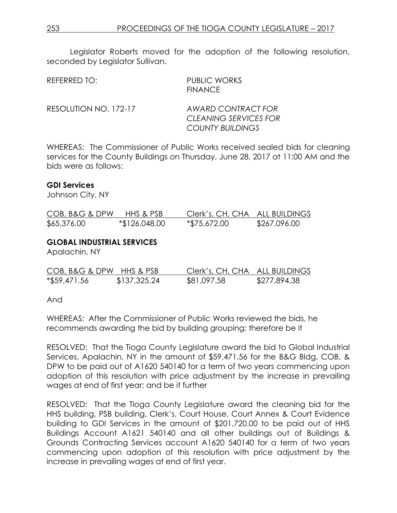Legislator Roberts moved for the adoption of the following resolution, seconded by Legislator Sullivan.

| REFERRED TO:          | PUBLIC WORKS<br><b>FINANCE</b>                     |
|-----------------------|----------------------------------------------------|
| RESOLUTION NO. 172-17 | AWARD CONTRACT FOR<br><b>CLEANING SERVICES FOR</b> |
|                       | <b>COUNTY BUILDINGS</b>                            |

WHEREAS: The Commissioner of Public Works received sealed bids for cleaning services for the County Buildings on Thursday, June 28, 2017 at 11:00 AM and the bids were as follows:

#### **GDI Services**

Johnson City, NY

| COB, B&G & DPW | HHS & PSB     | Clerk's, CH, CHA ALL BUILDINGS |              |
|----------------|---------------|--------------------------------|--------------|
| \$65,376.00    | *\$126,048.00 | *\$75,672.00                   | \$267,096.00 |

### **GLOBAL INDUSTRIAL SERVICES**

Apalachin, NY

| COB, B&G & DPW HHS & PSB |              | Clerk's, CH, CHA ALL BUILDINGS |              |
|--------------------------|--------------|--------------------------------|--------------|
| $*$ \$59,471.56          | \$137,325.24 | \$81,097.58                    | \$277,894.38 |

And

WHEREAS: After the Commissioner of Public Works reviewed the bids, he recommends awarding the bid by building grouping; therefore be it

RESOLVED: That the Tioga County Legislature award the bid to Global Industrial Services, Apalachin, NY in the amount of \$59,471.56 for the B&G Bldg, COB, & DPW to be paid out of A1620 540140 for a term of two years commencing upon adoption of this resolution with price adjustment by the increase in prevailing wages at end of first year; and be it further

RESOLVED: That the Tioga County Legislature award the cleaning bid for the HHS building, PSB building, Clerk's, Court House, Court Annex & Court Evidence building to GDI Services in the amount of \$201,720.00 to be paid out of HHS Buildings Account A1621 540140 and all other buildings out of Buildings & Grounds Contracting Services account A1620 540140 for a term of two years commencing upon adoption of this resolution with price adjustment by the increase in prevailing wages at end of first year.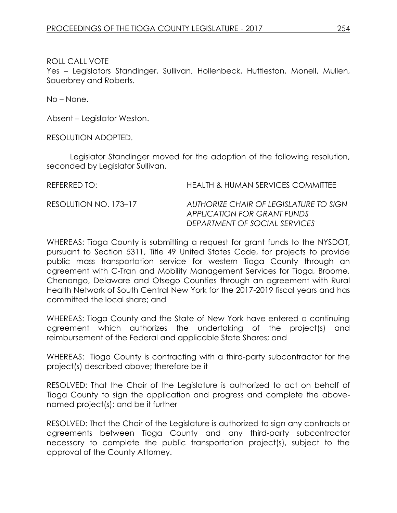Yes – Legislators Standinger, Sullivan, Hollenbeck, Huttleston, Monell, Mullen, Sauerbrey and Roberts.

No – None.

Absent – Legislator Weston.

RESOLUTION ADOPTED.

Legislator Standinger moved for the adoption of the following resolution, seconded by Legislator Sullivan.

REFERRED TO: HEALTH & HUMAN SERVICES COMMITTEE RESOLUTION NO. 173–17 *AUTHORIZE CHAIR OF LEGISLATURE TO SIGN APPLICATION FOR GRANT FUNDS DEPARTMENT OF SOCIAL SERVICES*

WHEREAS: Tioga County is submitting a request for grant funds to the NYSDOT, pursuant to Section 5311, Title 49 United States Code, for projects to provide public mass transportation service for western Tioga County through an agreement with C-Tran and Mobility Management Services for Tioga, Broome, Chenango, Delaware and Otsego Counties through an agreement with Rural Health Network of South Central New York for the 2017-2019 fiscal years and has committed the local share; and

WHEREAS: Tioga County and the State of New York have entered a continuing agreement which authorizes the undertaking of the project(s) and reimbursement of the Federal and applicable State Shares; and

WHEREAS: Tioga County is contracting with a third-party subcontractor for the project(s) described above; therefore be it

RESOLVED: That the Chair of the Legislature is authorized to act on behalf of Tioga County to sign the application and progress and complete the abovenamed project(s); and be it further

RESOLVED: That the Chair of the Legislature is authorized to sign any contracts or agreements between Tioga County and any third-party subcontractor necessary to complete the public transportation project(s), subject to the approval of the County Attorney.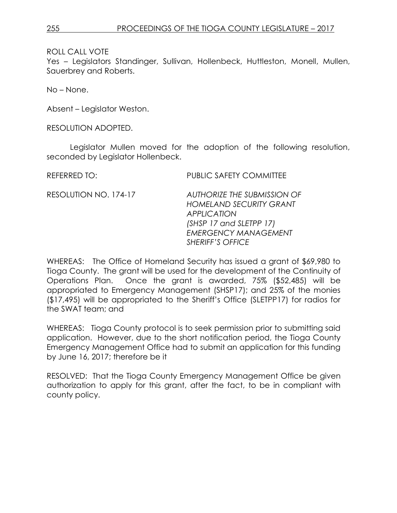*EMERGENCY MANAGEMENT*

*SHERIFF'S OFFICE*

ROLL CALL VOTE

Yes – Legislators Standinger, Sullivan, Hollenbeck, Huttleston, Monell, Mullen, Sauerbrey and Roberts.

No – None.

Absent – Legislator Weston.

RESOLUTION ADOPTED.

Legislator Mullen moved for the adoption of the following resolution, seconded by Legislator Hollenbeck.

REFERRED TO: PUBLIC SAFETY COMMITTEE RESOLUTION NO. 174-17 *AUTHORIZE THE SUBMISSION OF HOMELAND SECURITY GRANT APPLICATION (SHSP 17 and SLETPP 17)*

WHEREAS: The Office of Homeland Security has issued a grant of \$69,980 to Tioga County. The grant will be used for the development of the Continuity of Operations Plan. Once the grant is awarded, 75% (\$52,485) will be appropriated to Emergency Management (SHSP17); and 25% of the monies (\$17,495) will be appropriated to the Sheriff's Office (SLETPP17) for radios for the SWAT team; and

WHEREAS: Tioga County protocol is to seek permission prior to submitting said application. However, due to the short notification period, the Tioga County Emergency Management Office had to submit an application for this funding by June 16, 2017; therefore be it

RESOLVED: That the Tioga County Emergency Management Office be given authorization to apply for this grant, after the fact, to be in compliant with county policy.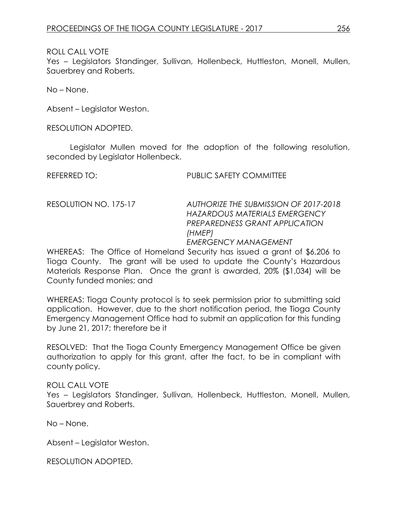Yes – Legislators Standinger, Sullivan, Hollenbeck, Huttleston, Monell, Mullen, Sauerbrey and Roberts.

No – None.

Absent – Legislator Weston.

RESOLUTION ADOPTED.

Legislator Mullen moved for the adoption of the following resolution, seconded by Legislator Hollenbeck.

REFERRED TO: PUBLIC SAFETY COMMITTEE

RESOLUTION NO. 175-17 *AUTHORIZE THE SUBMISSION OF 2017-2018 HAZARDOUS MATERIALS EMERGENCY PREPAREDNESS GRANT APPLICATION (HMEP)*

*EMERGENCY MANAGEMENT*

WHEREAS: The Office of Homeland Security has issued a grant of \$6,206 to Tioga County. The grant will be used to update the County's Hazardous Materials Response Plan. Once the grant is awarded, 20% (\$1,034) will be County funded monies; and

WHEREAS: Tioga County protocol is to seek permission prior to submitting said application. However, due to the short notification period, the Tioga County Emergency Management Office had to submit an application for this funding by June 21, 2017; therefore be it

RESOLVED: That the Tioga County Emergency Management Office be given authorization to apply for this grant, after the fact, to be in compliant with county policy.

### ROLL CALL VOTE

Yes - Legislators Standinger, Sullivan, Hollenbeck, Huttleston, Monell, Mullen, Sauerbrey and Roberts.

No – None.

Absent – Legislator Weston.

RESOLUTION ADOPTED.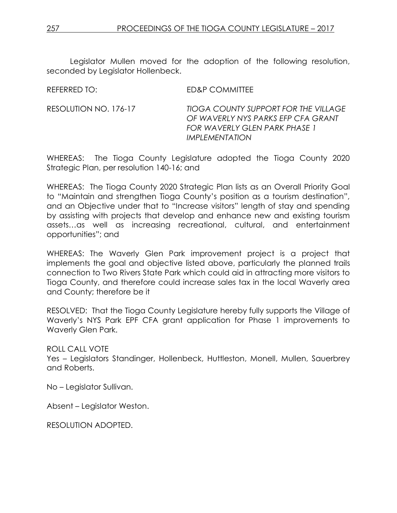Legislator Mullen moved for the adoption of the following resolution, seconded by Legislator Hollenbeck.

REFERRED TO: ED&P COMMITTEE

RESOLUTION NO. 176-17 *TIOGA COUNTY SUPPORT FOR THE VILLAGE OF WAVERLY NYS PARKS EFP CFA GRANT FOR WAVERLY GLEN PARK PHASE 1 IMPLEMENTATION*

WHEREAS: The Tioga County Legislature adopted the Tioga County 2020 Strategic Plan, per resolution 140-16; and

WHEREAS: The Tioga County 2020 Strategic Plan lists as an Overall Priority Goal to "Maintain and strengthen Tioga County's position as a tourism destination", and an Objective under that to "Increase visitors" length of stay and spending by assisting with projects that develop and enhance new and existing tourism assets…as well as increasing recreational, cultural, and entertainment opportunities"; and

WHEREAS: The Waverly Glen Park improvement project is a project that implements the goal and objective listed above, particularly the planned trails connection to Two Rivers State Park which could aid in attracting more visitors to Tioga County, and therefore could increase sales tax in the local Waverly area and County; therefore be it

RESOLVED: That the Tioga County Legislature hereby fully supports the Village of Waverly's NYS Park EPF CFA grant application for Phase 1 improvements to Waverly Glen Park.

ROLL CALL VOTE

Yes – Legislators Standinger, Hollenbeck, Huttleston, Monell, Mullen, Sauerbrey and Roberts.

No – Legislator Sullivan.

Absent – Legislator Weston.

RESOLUTION ADOPTED.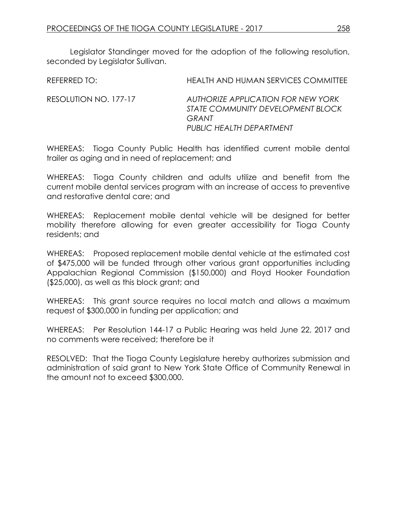Legislator Standinger moved for the adoption of the following resolution, seconded by Legislator Sullivan.

| REFERRED TO:          | HEALTH AND HUMAN SERVICES COMMITTEE                                                                          |
|-----------------------|--------------------------------------------------------------------------------------------------------------|
| RESOLUTION NO. 177-17 | AUTHORIZE APPLICATION FOR NEW YORK<br>STATE COMMUNITY DEVELOPMENT BLOCK<br>GRANT<br>PUBLIC HEALTH DEPARTMENT |

WHEREAS: Tioga County Public Health has identified current mobile dental trailer as aging and in need of replacement; and

WHEREAS: Tioga County children and adults utilize and benefit from the current mobile dental services program with an increase of access to preventive and restorative dental care; and

WHEREAS: Replacement mobile dental vehicle will be designed for better mobility therefore allowing for even greater accessibility for Tioga County residents; and

WHEREAS: Proposed replacement mobile dental vehicle at the estimated cost of \$475,000 will be funded through other various grant opportunities including Appalachian Regional Commission (\$150,000) and Floyd Hooker Foundation (\$25,000), as well as this block grant; and

WHEREAS: This grant source requires no local match and allows a maximum request of \$300,000 in funding per application; and

WHEREAS: Per Resolution 144-17 a Public Hearing was held June 22, 2017 and no comments were received; therefore be it

RESOLVED: That the Tioga County Legislature hereby authorizes submission and administration of said grant to New York State Office of Community Renewal in the amount not to exceed \$300,000.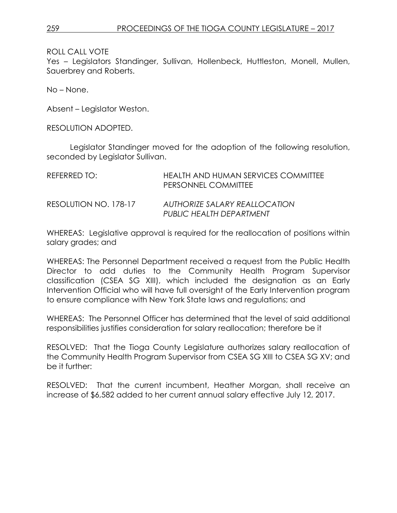Yes – Legislators Standinger, Sullivan, Hollenbeck, Huttleston, Monell, Mullen, Sauerbrey and Roberts.

No – None.

Absent – Legislator Weston.

RESOLUTION ADOPTED.

Legislator Standinger moved for the adoption of the following resolution, seconded by Legislator Sullivan.

| REFERRED TO:          | HEALTH AND HUMAN SERVICES COMMITTEE<br>PERSONNEL COMMITTEE |
|-----------------------|------------------------------------------------------------|
| RESOLUTION NO. 178-17 | AUTHORIZE SALARY REALLOCATION<br>PUBLIC HEALTH DEPARTMENT  |

WHEREAS: Legislative approval is required for the reallocation of positions within salary grades; and

WHEREAS: The Personnel Department received a request from the Public Health Director to add duties to the Community Health Program Supervisor classification (CSEA SG XIII), which included the designation as an Early Intervention Official who will have full oversight of the Early Intervention program to ensure compliance with New York State laws and regulations; and

WHEREAS: The Personnel Officer has determined that the level of said additional responsibilities justifies consideration for salary reallocation; therefore be it

RESOLVED: That the Tioga County Legislature authorizes salary reallocation of the Community Health Program Supervisor from CSEA SG XIII to CSEA SG XV; and be it further:

RESOLVED: That the current incumbent, Heather Morgan, shall receive an increase of \$6,582 added to her current annual salary effective July 12, 2017.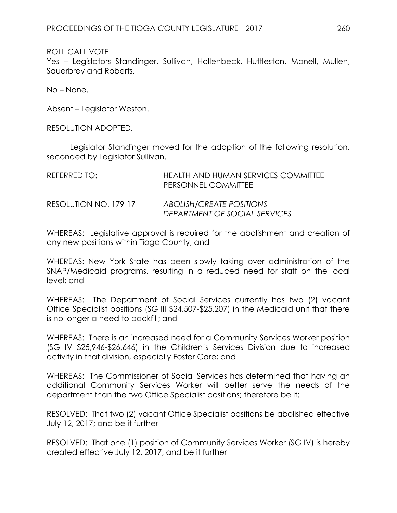Yes – Legislators Standinger, Sullivan, Hollenbeck, Huttleston, Monell, Mullen, Sauerbrey and Roberts.

No – None.

Absent – Legislator Weston.

RESOLUTION ADOPTED.

Legislator Standinger moved for the adoption of the following resolution, seconded by Legislator Sullivan.

| REFERRED TO:          | HEALTH AND HUMAN SERVICES COMMITTEE<br>PERSONNEL COMMITTEE |
|-----------------------|------------------------------------------------------------|
| RESOLUTION NO. 179-17 | ABOLISH/CREATE POSITIONS<br>DEPARTMENT OF SOCIAL SERVICES  |

WHEREAS: Legislative approval is required for the abolishment and creation of any new positions within Tioga County; and

WHEREAS: New York State has been slowly taking over administration of the SNAP/Medicaid programs, resulting in a reduced need for staff on the local level; and

WHEREAS: The Department of Social Services currently has two (2) vacant Office Specialist positions (SG III \$24,507-\$25,207) in the Medicaid unit that there is no longer a need to backfill; and

WHEREAS: There is an increased need for a Community Services Worker position (SG IV \$25,946-\$26,646) in the Children's Services Division due to increased activity in that division, especially Foster Care; and

WHEREAS: The Commissioner of Social Services has determined that having an additional Community Services Worker will better serve the needs of the department than the two Office Specialist positions; therefore be it:

RESOLVED: That two (2) vacant Office Specialist positions be abolished effective July 12, 2017; and be it further

RESOLVED: That one (1) position of Community Services Worker (SG IV) is hereby created effective July 12, 2017; and be it further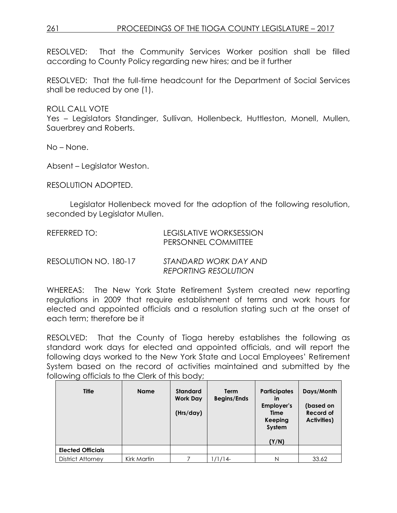# 261 PROCEEDINGS OF THE TIOGA COUNTY LEGISLATURE – 2017

RESOLVED: That the Community Services Worker position shall be filled according to County Policy regarding new hires; and be it further

RESOLVED: That the full-time headcount for the Department of Social Services shall be reduced by one (1).

ROLL CALL VOTE

Yes – Legislators Standinger, Sullivan, Hollenbeck, Huttleston, Monell, Mullen, Sauerbrey and Roberts.

No – None.

Absent – Legislator Weston.

RESOLUTION ADOPTED.

Legislator Hollenbeck moved for the adoption of the following resolution, seconded by Legislator Mullen.

| REFERRED TO: | LEGISLATIVE WORKSESSION    |
|--------------|----------------------------|
|              | <b>PERSONNEL COMMITTEE</b> |
|              |                            |

RESOLUTION NO. 180-17 *STANDARD WORK DAY AND REPORTING RESOLUTION*

WHEREAS: The New York State Retirement System created new reporting regulations in 2009 that require establishment of terms and work hours for elected and appointed officials and a resolution stating such at the onset of each term; therefore be it

RESOLVED: That the County of Tioga hereby establishes the following as standard work days for elected and appointed officials, and will report the following days worked to the New York State and Local Employees' Retirement System based on the record of activities maintained and submitted by the following officials to the Clerk of this body;

| <b>Title</b>             | <b>Name</b> | <b>Standard</b><br><b>Work Day</b><br>(Hrs/day) | <b>Term</b><br><b>Begins/Ends</b> | <b>Participates</b><br>in<br>Employer's<br>Time<br>Keeping<br>System<br>(Y/N) | Days/Month<br>(based on<br>Record of<br><b>Activities</b> ) |
|--------------------------|-------------|-------------------------------------------------|-----------------------------------|-------------------------------------------------------------------------------|-------------------------------------------------------------|
| <b>Elected Officials</b> |             |                                                 |                                   |                                                                               |                                                             |
| <b>District Attorney</b> | Kirk Martin |                                                 | 1/1/14-                           | N                                                                             | 33.62                                                       |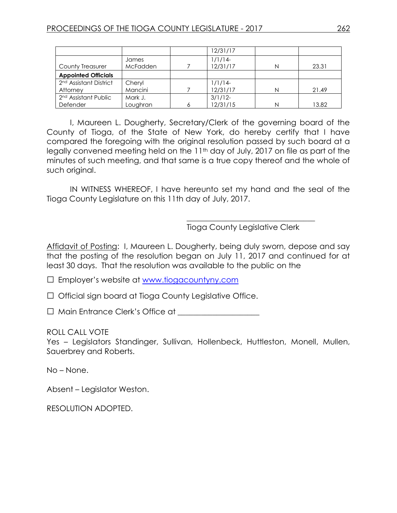|                                    |                 | 12/31/17   |   |       |
|------------------------------------|-----------------|------------|---|-------|
|                                    | James           | $1/1/14-$  |   |       |
| County Treasurer                   | <b>McFadden</b> | 12/31/17   | N | 23.31 |
| <b>Appointed Officials</b>         |                 |            |   |       |
| 2 <sup>nd</sup> Assistant District | Cheryl          | $1/1/14-$  |   |       |
| Attorney                           | Mancini         | 12/31/17   | N | 21.49 |
| 2 <sup>nd</sup> Assistant Public   | Mark J.         | $3/1/12$ - |   |       |
| Defender                           | Loughran        | 12/31/15   | N | 13.82 |

I, Maureen L. Dougherty, Secretary/Clerk of the governing board of the County of Tioga, of the State of New York, do hereby certify that I have compared the foregoing with the original resolution passed by such board at a legally convened meeting held on the 11<sup>th</sup> day of July, 2017 on file as part of the minutes of such meeting, and that same is a true copy thereof and the whole of such original.

IN WITNESS WHEREOF, I have hereunto set my hand and the seal of the Tioga County Legislature on this 11th day of July, 2017.

Tioga County Legislative Clerk

\_\_\_\_\_\_\_\_\_\_\_\_\_\_\_\_\_\_\_\_\_\_\_\_\_\_\_\_\_\_\_\_\_

Affidavit of Posting: I, Maureen L. Dougherty, being duly sworn, depose and say that the posting of the resolution began on July 11, 2017 and continued for at least 30 days. That the resolution was available to the public on the

□ Employer's website at [www.tiogacountyny.com](http://www.tiogacountyny.com/)

□ Official sign board at Tioga County Legislative Office.

□ Main Entrance Clerk's Office at \_\_\_\_\_\_\_\_\_\_\_\_\_\_\_\_\_\_\_\_\_

ROLL CALL VOTE

Yes - Legislators Standinger, Sullivan, Hollenbeck, Huttleston, Monell, Mullen, Sauerbrey and Roberts.

No – None.

Absent – Legislator Weston.

RESOLUTION ADOPTED.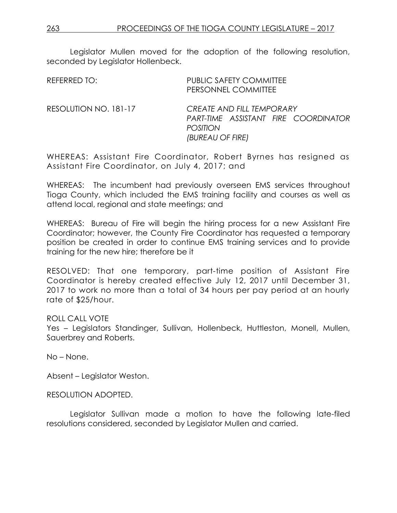Legislator Mullen moved for the adoption of the following resolution, seconded by Legislator Hollenbeck.

| REFERRED TO:          | <b>PUBLIC SAFETY COMMITTEE</b><br>PERSONNEL COMMITTEE                                                    |
|-----------------------|----------------------------------------------------------------------------------------------------------|
| RESOLUTION NO. 181-17 | CREATE AND FILL TEMPORARY<br>PART-TIME ASSISTANT FIRE COORDINATOR<br><b>POSITION</b><br>(BUREAU OF FIRE) |

WHEREAS: Assistant Fire Coordinator, Robert Byrnes has resigned as Assistant Fire Coordinator, on July 4, 2017; and

WHEREAS: The incumbent had previously overseen EMS services throughout Tioga County, which included the EMS training facility and courses as well as attend local, regional and state meetings; and

WHEREAS: Bureau of Fire will begin the hiring process for a new Assistant Fire Coordinator; however, the County Fire Coordinator has requested a temporary position be created in order to continue EMS training services and to provide training for the new hire; therefore be it

RESOLVED: That one temporary, part-time position of Assistant Fire Coordinator is hereby created effective July 12, 2017 until December 31, 2017 to work no more than a total of 34 hours per pay period at an hourly rate of \$25/hour.

#### ROLL CALL VOTE

Yes – Legislators Standinger, Sullivan, Hollenbeck, Huttleston, Monell, Mullen, Sauerbrey and Roberts.

No – None.

Absent – Legislator Weston.

RESOLUTION ADOPTED.

Legislator Sullivan made a motion to have the following late-filed resolutions considered, seconded by Legislator Mullen and carried.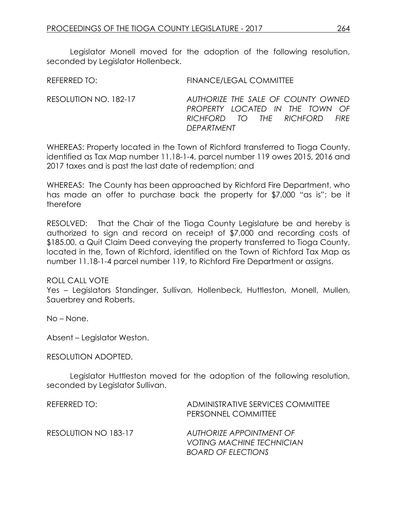Legislator Monell moved for the adoption of the following resolution, seconded by Legislator Hollenbeck.

REFERRED TO: FINANCE/LEGAL COMMITTEE

RESOLUTION NO. 182-17 *AUTHORIZE THE SALE OF COUNTY OWNED PROPERTY LOCATED IN THE TOWN OF RICHFORD TO THE RICHFORD FIRE DEPARTMENT*

WHEREAS: Property located in the Town of Richford transferred to Tioga County, identified as Tax Map number 11.18-1-4, parcel number 119 owes 2015, 2016 and 2017 taxes and is past the last date of redemption; and

WHEREAS: The County has been approached by Richford Fire Department, who has made an offer to purchase back the property for \$7,000 "as is"; be it therefore

RESOLVED: That the Chair of the Tioga County Legislature be and hereby is authorized to sign and record on receipt of \$7,000 and recording costs of \$185.00, a Quit Claim Deed conveying the property transferred to Tioga County, located in the, Town of Richford, identified on the Town of Richford Tax Map as number 11.18-1-4 parcel number 119, to Richford Fire Department or assigns.

### ROLL CALL VOTE

Yes – Legislators Standinger, Sullivan, Hollenbeck, Huttleston, Monell, Mullen, Sauerbrey and Roberts.

No – None.

Absent – Legislator Weston.

RESOLUTION ADOPTED.

Legislator Huttleston moved for the adoption of the following resolution, seconded by Legislator Sullivan.

| REFERRED TO:         | ADMINISTRATIVE SERVICES COMMITTEE<br>PERSONNEL COMMITTEE                                  |
|----------------------|-------------------------------------------------------------------------------------------|
| RESOLUTION NO 183-17 | AUTHORIZE APPOINTMENT OF<br><b>VOTING MACHINE TECHNICIAN</b><br><b>BOARD OF ELECTIONS</b> |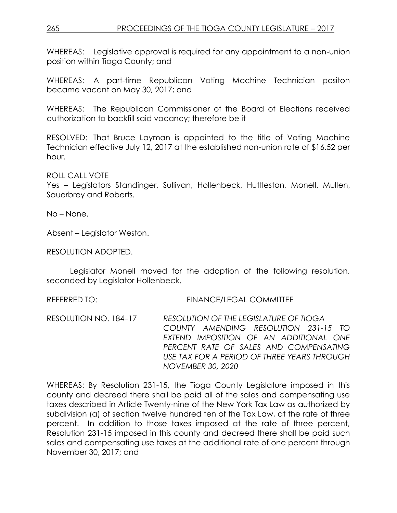# 265 PROCEEDINGS OF THE TIOGA COUNTY LEGISLATURE – 2017

WHEREAS: Legislative approval is required for any appointment to a non-union position within Tioga County; and

WHEREAS: A part-time Republican Voting Machine Technician positon became vacant on May 30, 2017; and

WHEREAS: The Republican Commissioner of the Board of Elections received authorization to backfill said vacancy; therefore be it

RESOLVED: That Bruce Layman is appointed to the title of Voting Machine Technician effective July 12, 2017 at the established non-union rate of \$16.52 per hour.

ROLL CALL VOTE

Yes – Legislators Standinger, Sullivan, Hollenbeck, Huttleston, Monell, Mullen, Sauerbrey and Roberts.

No – None.

Absent – Legislator Weston.

RESOLUTION ADOPTED.

Legislator Monell moved for the adoption of the following resolution, seconded by Legislator Hollenbeck.

REFERRED TO: FINANCE/LEGAL COMMITTEE

RESOLUTION NO. 184–17 *RESOLUTION OF THE LEGISLATURE OF TIOGA COUNTY AMENDING RESOLUTION 231-15 TO EXTEND IMPOSITION OF AN ADDITIONAL ONE PERCENT RATE OF SALES AND COMPENSATING USE TAX FOR A PERIOD OF THREE YEARS THROUGH NOVEMBER 30, 2020* 

WHEREAS: By Resolution 231-15, the Tioga County Legislature imposed in this county and decreed there shall be paid all of the sales and compensating use taxes described in Article Twenty-nine of the New York Tax Law as authorized by subdivision (a) of section twelve hundred ten of the Tax Law, at the rate of three percent. In addition to those taxes imposed at the rate of three percent, Resolution 231-15 imposed in this county and decreed there shall be paid such sales and compensating use taxes at the additional rate of one percent through November 30, 2017; and